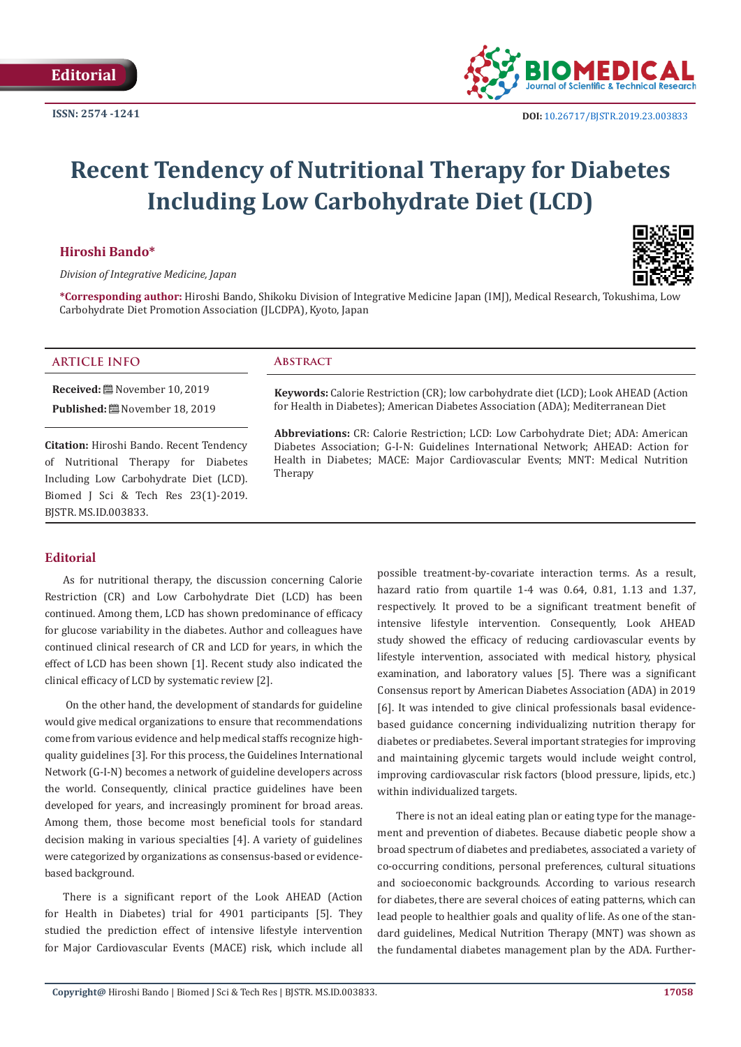

# **Recent Tendency of Nutritional Therapy for Diabetes Including Low Carbohydrate Diet (LCD)**

## **Hiroshi Bando\***



*Division of Integrative Medicine, Japan*

**\*Corresponding author:** Hiroshi Bando, Shikoku Division of Integrative Medicine Japan (IMJ), Medical Research, Tokushima, Low Carbohydrate Diet Promotion Association (JLCDPA), Kyoto, Japan

#### **ARTICLE INFO Abstract**

**Received:** November 10, 2019 **Published:** November 18, 2019

**Citation:** Hiroshi Bando. Recent Tendency of Nutritional Therapy for Diabetes Including Low Carbohydrate Diet (LCD). Biomed J Sci & Tech Res 23(1)-2019. BJSTR. MS.ID.003833.

**Keywords:** Calorie Restriction (CR); low carbohydrate diet (LCD); Look AHEAD (Action for Health in Diabetes); American Diabetes Association (ADA); Mediterranean Diet

**Abbreviations:** CR: Calorie Restriction; LCD: Low Carbohydrate Diet; ADA: American Diabetes Association; G-I-N: Guidelines International Network; AHEAD: Action for Health in Diabetes; MACE: Major Cardiovascular Events; MNT: Medical Nutrition Therapy

# **Editorial**

As for nutritional therapy, the discussion concerning Calorie Restriction (CR) and Low Carbohydrate Diet (LCD) has been continued. Among them, LCD has shown predominance of efficacy for glucose variability in the diabetes. Author and colleagues have continued clinical research of CR and LCD for years, in which the effect of LCD has been shown [1]. Recent study also indicated the clinical efficacy of LCD by systematic review [2].

 On the other hand, the development of standards for guideline would give medical organizations to ensure that recommendations come from various evidence and help medical staffs recognize highquality guidelines [3]. For this process, the Guidelines International Network (G-I-N) becomes a network of guideline developers across the world. Consequently, clinical practice guidelines have been developed for years, and increasingly prominent for broad areas. Among them, those become most beneficial tools for standard decision making in various specialties [4]. A variety of guidelines were categorized by organizations as consensus-based or evidencebased background.

There is a significant report of the Look AHEAD (Action for Health in Diabetes) trial for 4901 participants [5]. They studied the prediction effect of intensive lifestyle intervention for Major Cardiovascular Events (MACE) risk, which include all possible treatment-by-covariate interaction terms. As a result, hazard ratio from quartile 1-4 was 0.64, 0.81, 1.13 and 1.37, respectively. It proved to be a significant treatment benefit of intensive lifestyle intervention. Consequently, Look AHEAD study showed the efficacy of reducing cardiovascular events by lifestyle intervention, associated with medical history, physical examination, and laboratory values [5]. There was a significant Consensus report by American Diabetes Association (ADA) in 2019 [6]. It was intended to give clinical professionals basal evidencebased guidance concerning individualizing nutrition therapy for diabetes or prediabetes. Several important strategies for improving and maintaining glycemic targets would include weight control, improving cardiovascular risk factors (blood pressure, lipids, etc.) within individualized targets.

There is not an ideal eating plan or eating type for the management and prevention of diabetes. Because diabetic people show a broad spectrum of diabetes and prediabetes, associated a variety of co-occurring conditions, personal preferences, cultural situations and socioeconomic backgrounds. According to various research for diabetes, there are several choices of eating patterns, which can lead people to healthier goals and quality of life. As one of the standard guidelines, Medical Nutrition Therapy (MNT) was shown as the fundamental diabetes management plan by the ADA. Further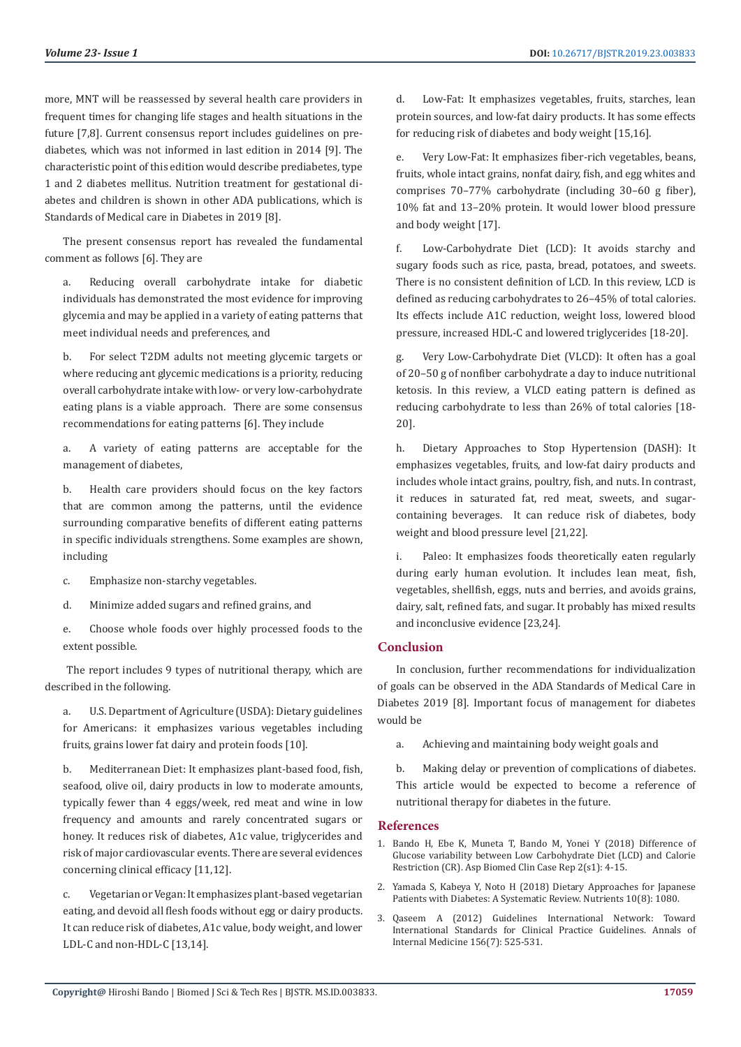more, MNT will be reassessed by several health care providers in frequent times for changing life stages and health situations in the future [7,8]. Current consensus report includes guidelines on prediabetes, which was not informed in last edition in 2014 [9]. The characteristic point of this edition would describe prediabetes, type 1 and 2 diabetes mellitus. Nutrition treatment for gestational diabetes and children is shown in other ADA publications, which is Standards of Medical care in Diabetes in 2019 [8].

The present consensus report has revealed the fundamental comment as follows [6]. They are

a. Reducing overall carbohydrate intake for diabetic individuals has demonstrated the most evidence for improving glycemia and may be applied in a variety of eating patterns that meet individual needs and preferences, and

b. For select T2DM adults not meeting glycemic targets or where reducing ant glycemic medications is a priority, reducing overall carbohydrate intake with low- or very low-carbohydrate eating plans is a viable approach. There are some consensus recommendations for eating patterns [6]. They include

a. A variety of eating patterns are acceptable for the management of diabetes,

b. Health care providers should focus on the key factors that are common among the patterns, until the evidence surrounding comparative benefits of different eating patterns in specific individuals strengthens. Some examples are shown, including

- c. Emphasize non-starchy vegetables.
- d. Minimize added sugars and refined grains, and

e. Choose whole foods over highly processed foods to the extent possible.

 The report includes 9 types of nutritional therapy, which are described in the following.

a. U.S. Department of Agriculture (USDA): Dietary guidelines for Americans: it emphasizes various vegetables including fruits, grains lower fat dairy and protein foods [10].

b. Mediterranean Diet: It emphasizes plant-based food, fish, seafood, olive oil, dairy products in low to moderate amounts, typically fewer than 4 eggs/week, red meat and wine in low frequency and amounts and rarely concentrated sugars or honey. It reduces risk of diabetes, A1c value, triglycerides and risk of major cardiovascular events. There are several evidences concerning clinical efficacy [11,12].

c. Vegetarian or Vegan: It emphasizes plant-based vegetarian eating, and devoid all flesh foods without egg or dairy products. It can reduce risk of diabetes, A1c value, body weight, and lower LDL-C and non-HDL-C [13,14].

d. Low-Fat: It emphasizes vegetables, fruits, starches, lean protein sources, and low-fat dairy products. It has some effects for reducing risk of diabetes and body weight [15,16].

e. Very Low-Fat: It emphasizes fiber-rich vegetables, beans, fruits, whole intact grains, nonfat dairy, fish, and egg whites and comprises 70–77% carbohydrate (including 30–60 g fiber), 10% fat and 13–20% protein. It would lower blood pressure and body weight [17].

f. Low-Carbohydrate Diet (LCD): It avoids starchy and sugary foods such as rice, pasta, bread, potatoes, and sweets. There is no consistent definition of LCD. In this review, LCD is defined as reducing carbohydrates to 26–45% of total calories. Its effects include A1C reduction, weight loss, lowered blood pressure, increased HDL-C and lowered triglycerides [18-20].

g. Very Low-Carbohydrate Diet (VLCD): It often has a goal of 20–50 g of nonfiber carbohydrate a day to induce nutritional ketosis. In this review, a VLCD eating pattern is defined as reducing carbohydrate to less than 26% of total calories [18- 20].

h. Dietary Approaches to Stop Hypertension (DASH): It emphasizes vegetables, fruits, and low-fat dairy products and includes whole intact grains, poultry, fish, and nuts. In contrast, it reduces in saturated fat, red meat, sweets, and sugarcontaining beverages. It can reduce risk of diabetes, body weight and blood pressure level [21,22].

i. Paleo: It emphasizes foods theoretically eaten regularly during early human evolution. It includes lean meat, fish, vegetables, shellfish, eggs, nuts and berries, and avoids grains, dairy, salt, refined fats, and sugar. It probably has mixed results and inconclusive evidence [23,24].

### **Conclusion**

In conclusion, further recommendations for individualization of goals can be observed in the ADA Standards of Medical Care in Diabetes 2019 [8]. Important focus of management for diabetes would be

a. Achieving and maintaining body weight goals and

b. Making delay or prevention of complications of diabetes. This article would be expected to become a reference of nutritional therapy for diabetes in the future.

#### **References**

- 1. [Bando H, Ebe K, Muneta T, Bando M, Yonei Y \(2018\) Difference of](https://asploro.com/difference-of-glucose-variability-between-low-carbohydrate-diet-lcd-and-calorie-restriction-cr-2/) [Glucose variability between Low Carbohydrate Diet \(LCD\) and Calorie](https://asploro.com/difference-of-glucose-variability-between-low-carbohydrate-diet-lcd-and-calorie-restriction-cr-2/) [Restriction \(CR\). Asp Biomed Clin Case Rep 2\(s1\): 4-15.](https://asploro.com/difference-of-glucose-variability-between-low-carbohydrate-diet-lcd-and-calorie-restriction-cr-2/)
- 2. [Yamada S, Kabeya Y, Noto H \(2018\) Dietary Approaches for Japanese](https://www.ncbi.nlm.nih.gov/pubmed/30104491) [Patients with Diabetes: A Systematic Review. Nutrients 10\(8\): 1080.](https://www.ncbi.nlm.nih.gov/pubmed/30104491)
- 3. [Qaseem A \(2012\) Guidelines International Network: Toward](https://www.ncbi.nlm.nih.gov/pubmed/22473437) [International Standards for Clinical Practice Guidelines. Annals of](https://www.ncbi.nlm.nih.gov/pubmed/22473437) [Internal Medicine 156\(7\): 525-531.](https://www.ncbi.nlm.nih.gov/pubmed/22473437)